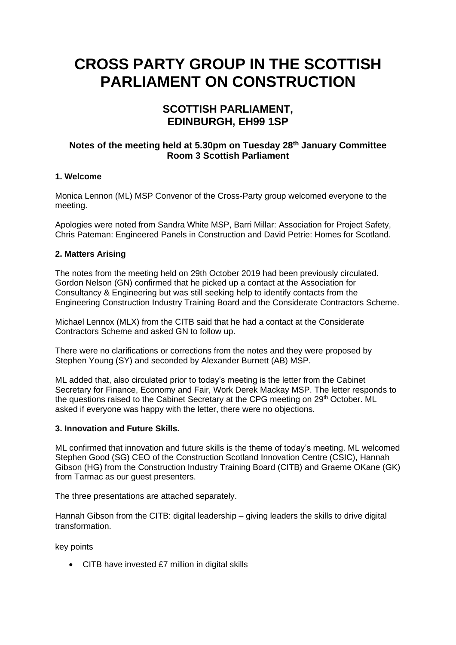# **CROSS PARTY GROUP IN THE SCOTTISH PARLIAMENT ON CONSTRUCTION**

# **SCOTTISH PARLIAMENT, EDINBURGH, EH99 1SP**

# **Notes of the meeting held at 5.30pm on Tuesday 28th January Committee Room 3 Scottish Parliament**

### **1. Welcome**

Monica Lennon (ML) MSP Convenor of the Cross-Party group welcomed everyone to the meeting.

Apologies were noted from Sandra White MSP, Barri Millar: Association for Project Safety, Chris Pateman: Engineered Panels in Construction and David Petrie: Homes for Scotland.

## **2. Matters Arising**

The notes from the meeting held on 29th October 2019 had been previously circulated. Gordon Nelson (GN) confirmed that he picked up a contact at the Association for Consultancy & Engineering but was still seeking help to identify contacts from the Engineering Construction Industry Training Board and the Considerate Contractors Scheme.

Michael Lennox (MLX) from the CITB said that he had a contact at the Considerate Contractors Scheme and asked GN to follow up.

There were no clarifications or corrections from the notes and they were proposed by Stephen Young (SY) and seconded by Alexander Burnett (AB) MSP.

ML added that, also circulated prior to today's meeting is the letter from the Cabinet Secretary for Finance, Economy and Fair, Work Derek Mackay MSP. The letter responds to the questions raised to the Cabinet Secretary at the CPG meeting on 29<sup>th</sup> October. ML asked if everyone was happy with the letter, there were no objections.

### **3. Innovation and Future Skills.**

ML confirmed that innovation and future skills is the theme of today's meeting. ML welcomed Stephen Good (SG) CEO of the Construction Scotland Innovation Centre (CSIC), Hannah Gibson (HG) from the Construction Industry Training Board (CITB) and Graeme OKane (GK) from Tarmac as our quest presenters.

The three presentations are attached separately.

Hannah Gibson from the CITB: digital leadership – giving leaders the skills to drive digital transformation.

key points

• CITB have invested £7 million in digital skills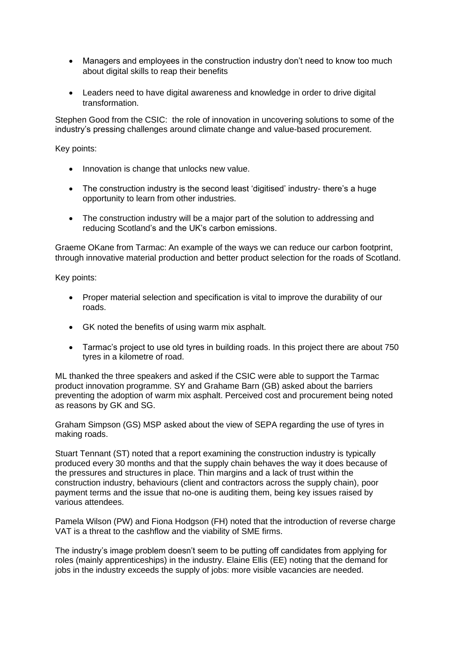- Managers and employees in the construction industry don't need to know too much about digital skills to reap their benefits
- Leaders need to have digital awareness and knowledge in order to drive digital transformation.

Stephen Good from the CSIC: the role of innovation in uncovering solutions to some of the industry's pressing challenges around climate change and value-based procurement.

Key points:

- Innovation is change that unlocks new value.
- The construction industry is the second least 'digitised' industry- there's a huge opportunity to learn from other industries.
- The construction industry will be a major part of the solution to addressing and reducing Scotland's and the UK's carbon emissions.

Graeme OKane from Tarmac: An example of the ways we can reduce our carbon footprint, through innovative material production and better product selection for the roads of Scotland.

Key points:

- Proper material selection and specification is vital to improve the durability of our roads.
- GK noted the benefits of using warm mix asphalt.
- Tarmac's project to use old tyres in building roads. In this project there are about 750 tyres in a kilometre of road.

ML thanked the three speakers and asked if the CSIC were able to support the Tarmac product innovation programme. SY and Grahame Barn (GB) asked about the barriers preventing the adoption of warm mix asphalt. Perceived cost and procurement being noted as reasons by GK and SG.

Graham Simpson (GS) MSP asked about the view of SEPA regarding the use of tyres in making roads.

Stuart Tennant (ST) noted that a report examining the construction industry is typically produced every 30 months and that the supply chain behaves the way it does because of the pressures and structures in place. Thin margins and a lack of trust within the construction industry, behaviours (client and contractors across the supply chain), poor payment terms and the issue that no-one is auditing them, being key issues raised by various attendees.

Pamela Wilson (PW) and Fiona Hodgson (FH) noted that the introduction of reverse charge VAT is a threat to the cashflow and the viability of SME firms.

The industry's image problem doesn't seem to be putting off candidates from applying for roles (mainly apprenticeships) in the industry. Elaine Ellis (EE) noting that the demand for jobs in the industry exceeds the supply of jobs: more visible vacancies are needed.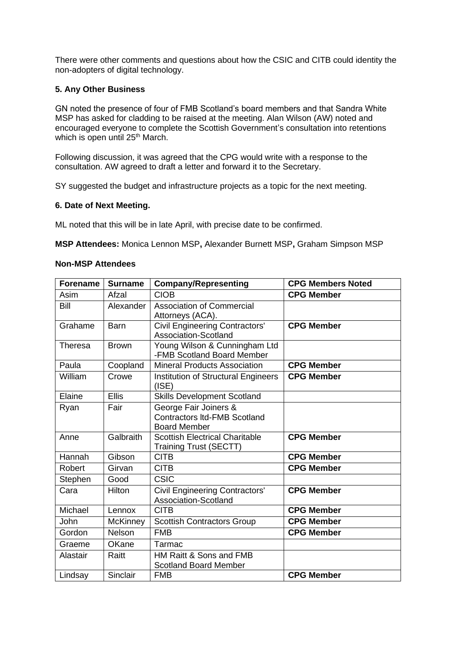There were other comments and questions about how the CSIC and CITB could identity the non-adopters of digital technology.

### **5. Any Other Business**

GN noted the presence of four of FMB Scotland's board members and that Sandra White MSP has asked for cladding to be raised at the meeting. Alan Wilson (AW) noted and encouraged everyone to complete the Scottish Government's consultation into retentions which is open until 25<sup>th</sup> March.

Following discussion, it was agreed that the CPG would write with a response to the consultation. AW agreed to draft a letter and forward it to the Secretary.

SY suggested the budget and infrastructure projects as a topic for the next meeting.

#### **6. Date of Next Meeting.**

ML noted that this will be in late April, with precise date to be confirmed.

**MSP Attendees:** Monica Lennon MSP**,** Alexander Burnett MSP**,** Graham Simpson MSP

#### **Non-MSP Attendees**

| <b>Forename</b> | <b>Surname</b>  | <b>Company/Representing</b>                                                         | <b>CPG Members Noted</b> |
|-----------------|-----------------|-------------------------------------------------------------------------------------|--------------------------|
| Asim            | Afzal           | <b>CIOB</b>                                                                         | <b>CPG Member</b>        |
| Bill            | Alexander       | <b>Association of Commercial</b><br>Attorneys (ACA).                                |                          |
| Grahame         | Barn            | <b>Civil Engineering Contractors'</b><br>Association-Scotland                       | <b>CPG Member</b>        |
| Theresa         | <b>Brown</b>    | Young Wilson & Cunningham Ltd<br>-FMB Scotland Board Member                         |                          |
| Paula           | Coopland        | <b>Mineral Products Association</b>                                                 | <b>CPG Member</b>        |
| William         | Crowe           | <b>Institution of Structural Engineers</b><br>(ISE)                                 | <b>CPG Member</b>        |
| Elaine          | <b>Ellis</b>    | <b>Skills Development Scotland</b>                                                  |                          |
| Ryan            | Fair            | George Fair Joiners &<br><b>Contractors Itd-FMB Scotland</b><br><b>Board Member</b> |                          |
| Anne            | Galbraith       | <b>Scottish Electrical Charitable</b><br><b>Training Trust (SECTT)</b>              | <b>CPG Member</b>        |
| Hannah          | Gibson          | <b>CITB</b>                                                                         | <b>CPG Member</b>        |
| Robert          | Girvan          | <b>CITB</b>                                                                         | <b>CPG Member</b>        |
| Stephen         | Good            | <b>CSIC</b>                                                                         |                          |
| Cara            | Hilton          | <b>Civil Engineering Contractors'</b><br>Association-Scotland                       | <b>CPG Member</b>        |
| Michael         | Lennox          | <b>CITB</b>                                                                         | <b>CPG Member</b>        |
| John            | <b>McKinney</b> | <b>Scottish Contractors Group</b>                                                   | <b>CPG Member</b>        |
| Gordon          | Nelson          | <b>FMB</b>                                                                          | <b>CPG Member</b>        |
| Graeme          | <b>OKane</b>    | Tarmac                                                                              |                          |
| Alastair        | Raitt           | HM Raitt & Sons and FMB<br><b>Scotland Board Member</b>                             |                          |
| Lindsay         | Sinclair        | <b>FMB</b>                                                                          | <b>CPG Member</b>        |